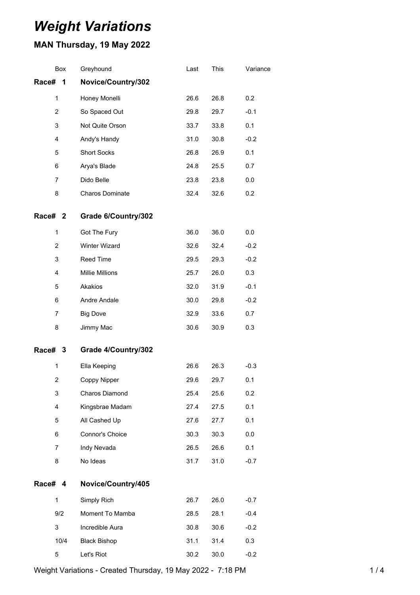# *Weight Variations*

## **MAN Thursday, 19 May 2022**

|         | Box            | Greyhound           | Last | This | Variance |
|---------|----------------|---------------------|------|------|----------|
| Race#   | 1              | Novice/Country/302  |      |      |          |
|         | 1              | Honey Monelli       | 26.6 | 26.8 | 0.2      |
|         | $\overline{c}$ | So Spaced Out       | 29.8 | 29.7 | $-0.1$   |
|         | 3              | Not Quite Orson     | 33.7 | 33.8 | 0.1      |
|         | 4              | Andy's Handy        | 31.0 | 30.8 | $-0.2$   |
|         | 5              | <b>Short Socks</b>  | 26.8 | 26.9 | 0.1      |
|         | 6              | Arya's Blade        | 24.8 | 25.5 | 0.7      |
|         | 7              | Dido Belle          | 23.8 | 23.8 | 0.0      |
|         | 8              | Charos Dominate     | 32.4 | 32.6 | 0.2      |
| Race#   | 2              | Grade 6/Country/302 |      |      |          |
|         | 1              | Got The Fury        | 36.0 | 36.0 | 0.0      |
|         | 2              | Winter Wizard       | 32.6 | 32.4 | $-0.2$   |
|         | 3              | Reed Time           | 29.5 | 29.3 | $-0.2$   |
|         | 4              | Millie Millions     | 25.7 | 26.0 | 0.3      |
|         | 5              | Akakios             | 32.0 | 31.9 | $-0.1$   |
|         | 6              | Andre Andale        | 30.0 | 29.8 | $-0.2$   |
|         | $\overline{7}$ | <b>Big Dove</b>     | 32.9 | 33.6 | 0.7      |
|         | 8              | Jimmy Mac           | 30.6 | 30.9 | 0.3      |
| Race# 3 |                | Grade 4/Country/302 |      |      |          |
|         | 1              | Ella Keeping        | 26.6 | 26.3 | $-0.3$   |
|         | $\overline{2}$ | Coppy Nipper        | 29.6 | 29.7 | 0.1      |
|         | 3              | Charos Diamond      | 25.4 | 25.6 | 0.2      |
|         | 4              | Kingsbrae Madam     | 27.4 | 27.5 | 0.1      |
|         | 5              | All Cashed Up       | 27.6 | 27.7 | 0.1      |
|         | 6              | Connor's Choice     | 30.3 | 30.3 | 0.0      |
|         | $\overline{7}$ | Indy Nevada         | 26.5 | 26.6 | 0.1      |
|         | 8              | No Ideas            | 31.7 | 31.0 | $-0.7$   |
| Race# 4 |                | Novice/Country/405  |      |      |          |
|         | 1              | Simply Rich         | 26.7 | 26.0 | $-0.7$   |
|         | 9/2            | Moment To Mamba     | 28.5 | 28.1 | $-0.4$   |
|         | 3              | Incredible Aura     | 30.8 | 30.6 | $-0.2$   |
|         | 10/4           | <b>Black Bishop</b> | 31.1 | 31.4 | 0.3      |
|         | 5              | Let's Riot          | 30.2 | 30.0 | $-0.2$   |

Weight Variations - Created Thursday, 19 May 2022 - 7:18 PM 14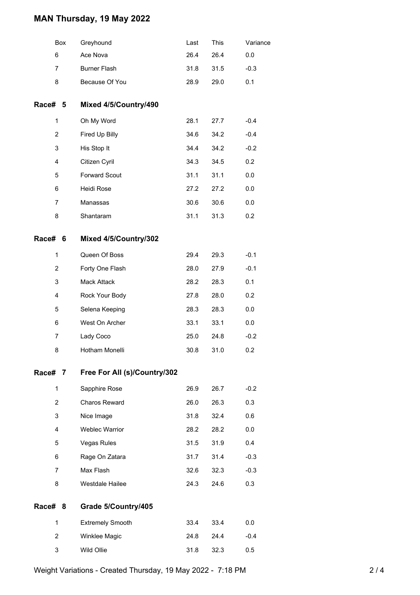### **MAN Thursday, 19 May 2022**

|                | Box | Greyhound                    | Last | This | Variance |
|----------------|-----|------------------------------|------|------|----------|
| 6              |     | Ace Nova                     | 26.4 | 26.4 | 0.0      |
| 7              |     | <b>Burner Flash</b>          | 31.8 | 31.5 | $-0.3$   |
| 8              |     | Because Of You               | 28.9 | 29.0 | 0.1      |
| Race# 5        |     | Mixed 4/5/Country/490        |      |      |          |
| $\mathbf 1$    |     | Oh My Word                   | 28.1 | 27.7 | $-0.4$   |
| $\overline{2}$ |     | Fired Up Billy               | 34.6 | 34.2 | $-0.4$   |
| 3              |     | His Stop It                  | 34.4 | 34.2 | $-0.2$   |
| 4              |     | Citizen Cyril                | 34.3 | 34.5 | 0.2      |
| 5              |     | <b>Forward Scout</b>         | 31.1 | 31.1 | 0.0      |
| 6              |     | Heidi Rose                   | 27.2 | 27.2 | 0.0      |
| 7              |     | Manassas                     | 30.6 | 30.6 | 0.0      |
| 8              |     | Shantaram                    | 31.1 | 31.3 | 0.2      |
| Race# 6        |     | Mixed 4/5/Country/302        |      |      |          |
| $\mathbf 1$    |     | Queen Of Boss                | 29.4 | 29.3 | $-0.1$   |
| $\overline{2}$ |     | Forty One Flash              | 28.0 | 27.9 | $-0.1$   |
| 3              |     | Mack Attack                  | 28.2 | 28.3 | 0.1      |
| 4              |     | Rock Your Body               | 27.8 | 28.0 | 0.2      |
| 5              |     | Selena Keeping               | 28.3 | 28.3 | 0.0      |
| 6              |     | West On Archer               | 33.1 | 33.1 | 0.0      |
| 7              |     | Lady Coco                    | 25.0 | 24.8 | $-0.2$   |
| 8              |     | Hotham Monelli               | 30.8 | 31.0 | 0.2      |
| Race# 7        |     | Free For All (s)/Country/302 |      |      |          |
| $\mathbf 1$    |     | Sapphire Rose                | 26.9 | 26.7 | $-0.2$   |
| $\overline{2}$ |     | Charos Reward                | 26.0 | 26.3 | 0.3      |
| 3              |     | Nice Image                   | 31.8 | 32.4 | 0.6      |
| 4              |     | <b>Weblec Warrior</b>        | 28.2 | 28.2 | 0.0      |
| 5              |     | Vegas Rules                  | 31.5 | 31.9 | 0.4      |
| 6              |     | Rage On Zatara               | 31.7 | 31.4 | $-0.3$   |
| 7              |     | Max Flash                    | 32.6 | 32.3 | $-0.3$   |
| 8              |     | Westdale Hailee              | 24.3 | 24.6 | 0.3      |
| Race# 8        |     | Grade 5/Country/405          |      |      |          |
| $\mathbf{1}$   |     | <b>Extremely Smooth</b>      | 33.4 | 33.4 | 0.0      |
| $\overline{2}$ |     | Winklee Magic                | 24.8 | 24.4 | $-0.4$   |
| 3              |     | Wild Ollie                   | 31.8 | 32.3 | 0.5      |
|                |     |                              |      |      |          |

Weight Variations - Created Thursday, 19 May 2022 - 7:18 PM 2001 2001 2004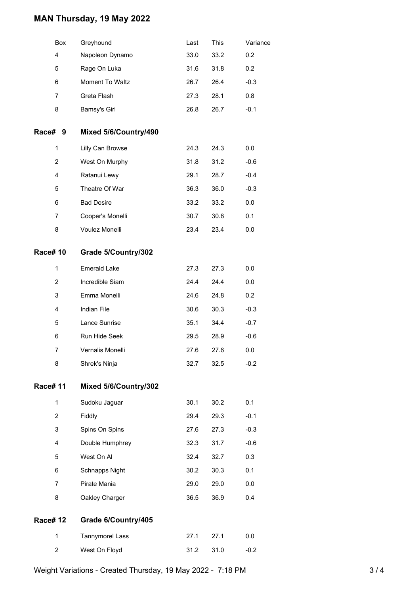### **MAN Thursday, 19 May 2022**

|                 | Box            | Greyhound             | Last | This | Variance |
|-----------------|----------------|-----------------------|------|------|----------|
|                 | 4              | Napoleon Dynamo       | 33.0 | 33.2 | 0.2      |
|                 | 5              | Rage On Luka          | 31.6 | 31.8 | 0.2      |
|                 | 6              | Moment To Waltz       | 26.7 | 26.4 | $-0.3$   |
|                 | 7              | Greta Flash           | 27.3 | 28.1 | 0.8      |
|                 | 8              | Bamsy's Girl          | 26.8 | 26.7 | $-0.1$   |
| Race#           | 9              | Mixed 5/6/Country/490 |      |      |          |
|                 | 1              | Lilly Can Browse      | 24.3 | 24.3 | 0.0      |
|                 | $\overline{c}$ | West On Murphy        | 31.8 | 31.2 | $-0.6$   |
|                 | 4              | Ratanui Lewy          | 29.1 | 28.7 | $-0.4$   |
|                 | 5              | Theatre Of War        | 36.3 | 36.0 | $-0.3$   |
|                 | 6              | <b>Bad Desire</b>     | 33.2 | 33.2 | 0.0      |
|                 | 7              | Cooper's Monelli      | 30.7 | 30.8 | 0.1      |
|                 | 8              | Voulez Monelli        | 23.4 | 23.4 | 0.0      |
| <b>Race# 10</b> |                | Grade 5/Country/302   |      |      |          |
|                 | $\mathbf{1}$   | <b>Emerald Lake</b>   | 27.3 | 27.3 | 0.0      |
|                 | $\overline{2}$ | Incredible Siam       | 24.4 | 24.4 | 0.0      |
|                 | 3              | Emma Monelli          | 24.6 | 24.8 | 0.2      |
|                 | $\overline{4}$ | Indian File           | 30.6 | 30.3 | $-0.3$   |
|                 | 5              | Lance Sunrise         | 35.1 | 34.4 | $-0.7$   |
|                 | 6              | Run Hide Seek         | 29.5 | 28.9 | $-0.6$   |
|                 | 7              | Vernalis Monelli      | 27.6 | 27.6 | 0.0      |
|                 | 8              | Shrek's Ninja         | 32.7 | 32.5 | $-0.2$   |
| <b>Race#11</b>  |                | Mixed 5/6/Country/302 |      |      |          |
|                 | $\mathbf{1}$   | Sudoku Jaguar         | 30.1 | 30.2 | 0.1      |
|                 | $\overline{2}$ | Fiddly                | 29.4 | 29.3 | $-0.1$   |
|                 | 3              | Spins On Spins        | 27.6 | 27.3 | $-0.3$   |
|                 | 4              | Double Humphrey       | 32.3 | 31.7 | $-0.6$   |
|                 | 5              | West On Al            | 32.4 | 32.7 | 0.3      |
|                 | 6              | Schnapps Night        | 30.2 | 30.3 | 0.1      |
|                 | 7              | Pirate Mania          | 29.0 | 29.0 | 0.0      |
|                 | 8              | Oakley Charger        | 36.5 | 36.9 | 0.4      |
| <b>Race# 12</b> |                | Grade 6/Country/405   |      |      |          |
|                 | $\mathbf{1}$   | Tannymorel Lass       | 27.1 | 27.1 | 0.0      |
|                 | 2              | West On Floyd         | 31.2 | 31.0 | $-0.2$   |

Weight Variations - Created Thursday, 19 May 2022 - 7:18 PM 3 3 / 4